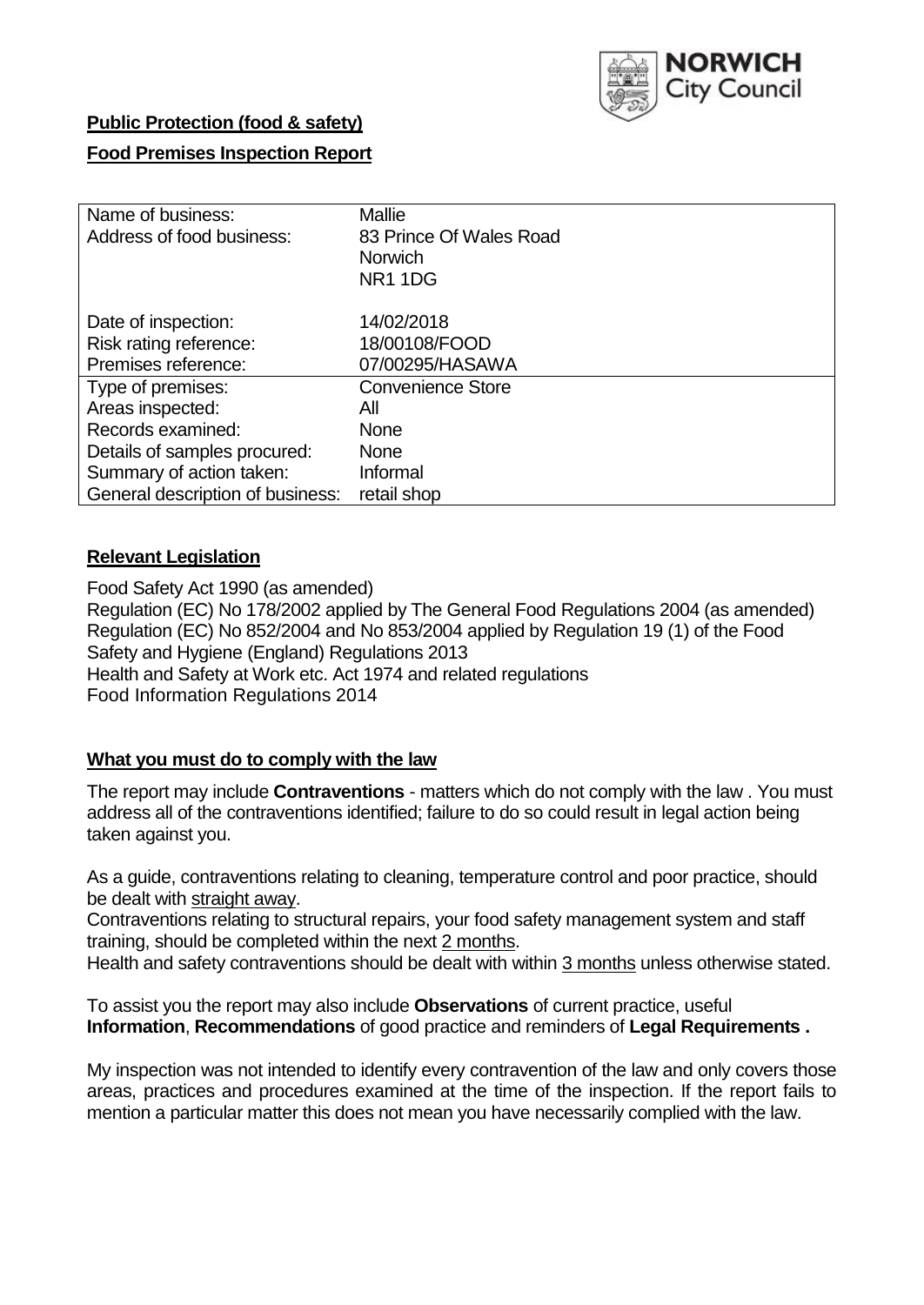

### **Public Protection (food & safety)**

# **Food Premises Inspection Report**

| Name of business:<br>Address of food business: | <b>Mallie</b><br>83 Prince Of Wales Road<br><b>Norwich</b><br>NR <sub>1</sub> 1D <sub>G</sub> |
|------------------------------------------------|-----------------------------------------------------------------------------------------------|
| Date of inspection:                            | 14/02/2018                                                                                    |
| Risk rating reference:                         | 18/00108/FOOD                                                                                 |
| Premises reference:                            | 07/00295/HASAWA                                                                               |
| Type of premises:                              | <b>Convenience Store</b>                                                                      |
| Areas inspected:                               | All                                                                                           |
| Records examined:                              | <b>None</b>                                                                                   |
| Details of samples procured:                   | <b>None</b>                                                                                   |
| Summary of action taken:                       | Informal                                                                                      |
| General description of business:               | retail shop                                                                                   |

#### **Relevant Legislation**

Food Safety Act 1990 (as amended) Regulation (EC) No 178/2002 applied by The General Food Regulations 2004 (as amended) Regulation (EC) No 852/2004 and No 853/2004 applied by Regulation 19 (1) of the Food Safety and Hygiene (England) Regulations 2013 Health and Safety at Work etc. Act 1974 and related regulations Food Information Regulations 2014

### **What you must do to comply with the law**

The report may include **Contraventions** - matters which do not comply with the law . You must address all of the contraventions identified; failure to do so could result in legal action being taken against you.

As a guide, contraventions relating to cleaning, temperature control and poor practice, should be dealt with straight away.

Contraventions relating to structural repairs, your food safety management system and staff training, should be completed within the next 2 months.

Health and safety contraventions should be dealt with within 3 months unless otherwise stated.

To assist you the report may also include **Observations** of current practice, useful **Information**, **Recommendations** of good practice and reminders of **Legal Requirements .**

My inspection was not intended to identify every contravention of the law and only covers those areas, practices and procedures examined at the time of the inspection. If the report fails to mention a particular matter this does not mean you have necessarily complied with the law.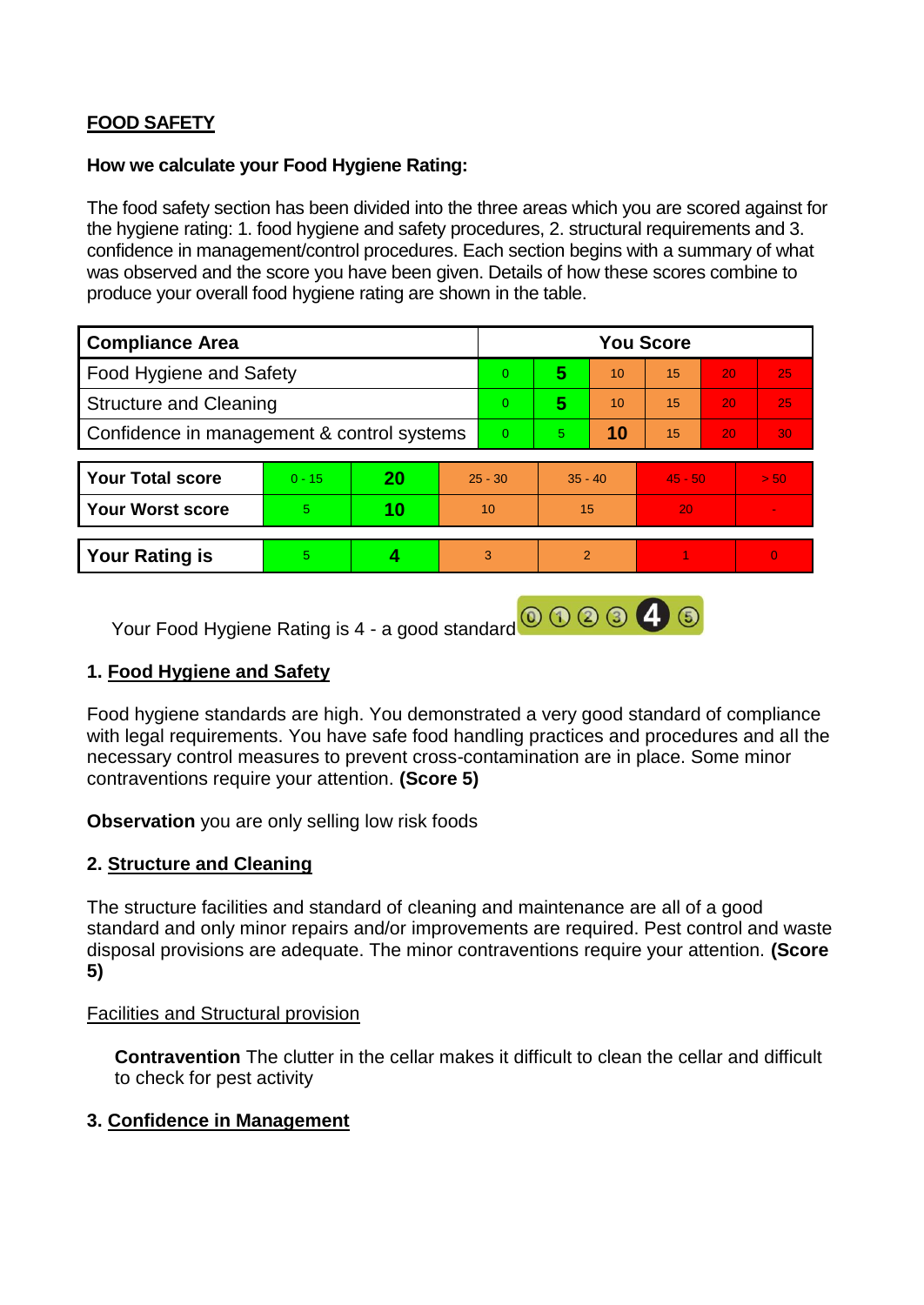# **FOOD SAFETY**

#### **How we calculate your Food Hygiene Rating:**

The food safety section has been divided into the three areas which you are scored against for the hygiene rating: 1. food hygiene and safety procedures, 2. structural requirements and 3. confidence in management/control procedures. Each section begins with a summary of what was observed and the score you have been given. Details of how these scores combine to produce your overall food hygiene rating are shown in the table.

| <b>Compliance Area</b>                     |          |    |           | <b>You Score</b> |               |    |           |    |                |  |  |
|--------------------------------------------|----------|----|-----------|------------------|---------------|----|-----------|----|----------------|--|--|
| Food Hygiene and Safety                    |          |    |           | $\overline{0}$   | 5             | 10 | 15        | 20 | 25             |  |  |
| <b>Structure and Cleaning</b>              |          |    |           | $\Omega$         | 5             | 10 | 15        | 20 | 25             |  |  |
| Confidence in management & control systems |          |    |           | $\Omega$         | 5             | 10 | 15        | 20 | 30             |  |  |
|                                            |          |    |           |                  |               |    |           |    |                |  |  |
| <b>Your Total score</b>                    | $0 - 15$ | 20 | $25 - 30$ |                  | $35 - 40$     |    | $45 - 50$ |    | > 50           |  |  |
| <b>Your Worst score</b>                    | 5.       | 10 | 10        |                  | 15            |    | 20        |    | $\blacksquare$ |  |  |
|                                            |          |    |           |                  |               |    |           |    |                |  |  |
| <b>Your Rating is</b>                      | 5        |    |           | 3                | $\mathcal{P}$ |    |           |    | $\Omega$       |  |  |

Your Food Hygiene Rating is 4 - a good standard **@ 3 3 4 6** 

# **1. Food Hygiene and Safety**

Food hygiene standards are high. You demonstrated a very good standard of compliance with legal requirements. You have safe food handling practices and procedures and all the necessary control measures to prevent cross-contamination are in place. Some minor contraventions require your attention. **(Score 5)**

**Observation** you are only selling low risk foods

# **2. Structure and Cleaning**

The structure facilities and standard of cleaning and maintenance are all of a good standard and only minor repairs and/or improvements are required. Pest control and waste disposal provisions are adequate. The minor contraventions require your attention. **(Score 5)**

#### Facilities and Structural provision

**Contravention** The clutter in the cellar makes it difficult to clean the cellar and difficult to check for pest activity

#### **3. Confidence in Management**